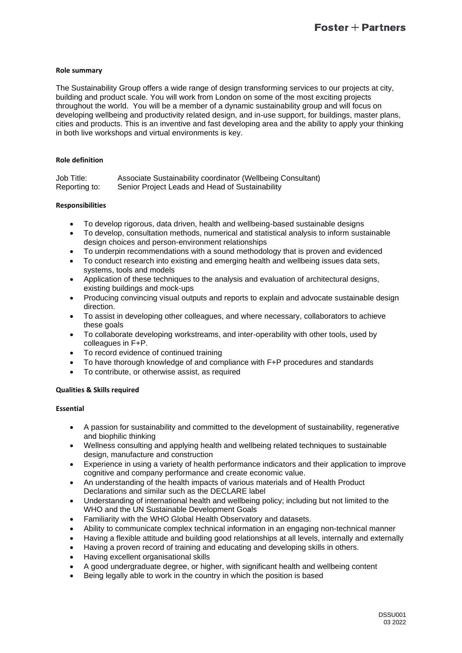# **Role summary**

The Sustainability Group offers a wide range of design transforming services to our projects at city, building and product scale. You will work from London on some of the most exciting projects throughout the world. You will be a member of a dynamic sustainability group and will focus on developing wellbeing and productivity related design, and in-use support, for buildings, master plans, cities and products. This is an inventive and fast developing area and the ability to apply your thinking in both live workshops and virtual environments is key.

# **Role definition**

| Job Title:    | Associate Sustainability coordinator (Wellbeing Consultant) |
|---------------|-------------------------------------------------------------|
| Reporting to: | Senior Project Leads and Head of Sustainability             |

# **Responsibilities**

- To develop rigorous, data driven, health and wellbeing-based sustainable designs
- To develop, consultation methods, numerical and statistical analysis to inform sustainable design choices and person-environment relationships
- To underpin recommendations with a sound methodology that is proven and evidenced
- To conduct research into existing and emerging health and wellbeing issues data sets, systems, tools and models
- Application of these techniques to the analysis and evaluation of architectural designs, existing buildings and mock-ups
- Producing convincing visual outputs and reports to explain and advocate sustainable design direction.
- To assist in developing other colleagues, and where necessary, collaborators to achieve these goals
- To collaborate developing workstreams, and inter-operability with other tools, used by colleagues in F+P.
- To record evidence of continued training
- To have thorough knowledge of and compliance with F+P procedures and standards
- To contribute, or otherwise assist, as required

# **Qualities & Skills required**

# **Essential**

- A passion for sustainability and committed to the development of sustainability, regenerative and biophilic thinking
- Wellness consulting and applying health and wellbeing related techniques to sustainable design, manufacture and construction
- Experience in using a variety of health performance indicators and their application to improve cognitive and company performance and create economic value.
- An understanding of the health impacts of various materials and of Health Product Declarations and similar such as the DECLARE label
- Understanding of international health and wellbeing policy; including but not limited to the WHO and the UN Sustainable Development Goals
- Familiarity with the WHO Global Health Observatory and datasets.
- Ability to communicate complex technical information in an engaging non-technical manner
- Having a flexible attitude and building good relationships at all levels, internally and externally
- Having a proven record of training and educating and developing skills in others.
- Having excellent organisational skills
- A good undergraduate degree, or higher, with significant health and wellbeing content
- Being legally able to work in the country in which the position is based